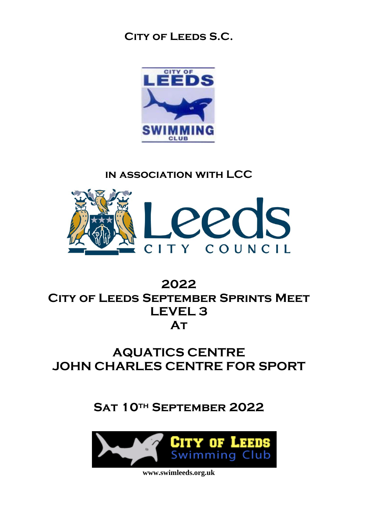### **City of Leeds S.C.**



### **in association with LCC**



## **2022 City of Leeds September Sprints Meet LEVEL 3 At**

# **AQUATICS CENTRE JOHN CHARLES CENTRE FOR SPORT**

**Sat 10th September 2022**

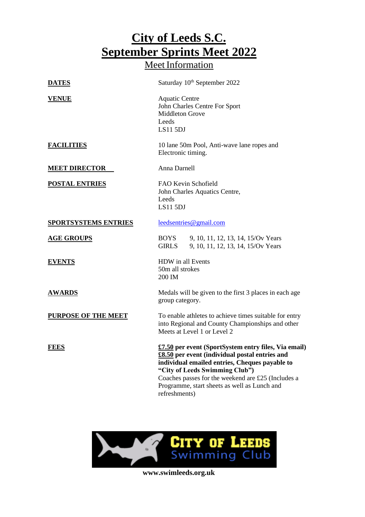## **City of Leeds S.C. September Sprints Meet 2022** Meet Information

| <b>DATES</b>                | Saturday 10 <sup>th</sup> September 2022                                                                                                                                                                                                                                                                          |  |  |  |
|-----------------------------|-------------------------------------------------------------------------------------------------------------------------------------------------------------------------------------------------------------------------------------------------------------------------------------------------------------------|--|--|--|
| <b>VENUE</b>                | <b>Aquatic Centre</b><br>John Charles Centre For Sport<br><b>Middleton Grove</b><br>Leeds<br><b>LS11 5DJ</b>                                                                                                                                                                                                      |  |  |  |
| <b>FACILITIES</b>           | 10 lane 50m Pool, Anti-wave lane ropes and<br>Electronic timing.                                                                                                                                                                                                                                                  |  |  |  |
| <b>MEET DIRECTOR</b>        | Anna Darnell                                                                                                                                                                                                                                                                                                      |  |  |  |
| <b>POSTAL ENTRIES</b>       | FAO Kevin Schofield<br>John Charles Aquatics Centre,<br>Leeds<br><b>LS11 5DJ</b>                                                                                                                                                                                                                                  |  |  |  |
| <b>SPORTSYSTEMS ENTRIES</b> | leedsentries@gmail.com                                                                                                                                                                                                                                                                                            |  |  |  |
| <b>AGE GROUPS</b>           | <b>BOYS</b><br>9, 10, 11, 12, 13, 14, 15/Ov Years<br><b>GIRLS</b><br>9, 10, 11, 12, 13, 14, 15/Ov Years                                                                                                                                                                                                           |  |  |  |
| <b>EVENTS</b>               | HDW in all Events<br>50m all strokes<br>200 IM                                                                                                                                                                                                                                                                    |  |  |  |
| <b>AWARDS</b>               | Medals will be given to the first 3 places in each age<br>group category.                                                                                                                                                                                                                                         |  |  |  |
| <b>PURPOSE OF THE MEET</b>  | To enable athletes to achieve times suitable for entry<br>into Regional and County Championships and other<br>Meets at Level 1 or Level 2                                                                                                                                                                         |  |  |  |
| <b>FEES</b>                 | £7.50 per event (SportSystem entry files, Via email)<br>£8.50 per event (individual postal entries and<br>individual emailed entries, Cheques payable to<br>"City of Leeds Swimming Club")<br>Coaches passes for the weekend are £25 (Includes a<br>Programme, start sheets as well as Lunch and<br>refreshments) |  |  |  |

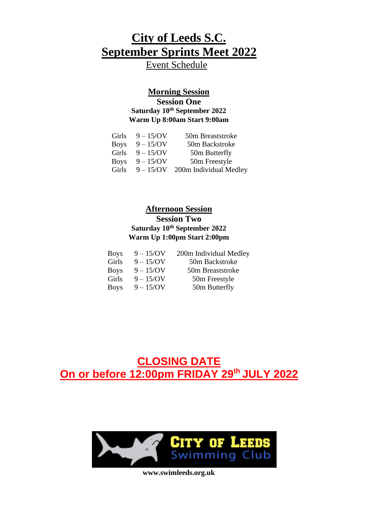Event Schedule

#### **Morning Session Session One Saturday 10 th September 2022 Warm Up 8:00am Start 9:00am**

| Girls       | $9 - 15/N$   | 50m Breaststroke       |
|-------------|--------------|------------------------|
| <b>Boys</b> | $9 - 15$ /OV | 50m Backstroke         |
| Girls       | $9 - 15/N$   | 50m Butterfly          |
| <b>Boys</b> | $9 - 15$ /OV | 50m Freestyle          |
| Girls       | $9 - 15/N$   | 200m Individual Medley |

#### **Afternoon Session**

#### **Session Two Saturday 10 th September 2022 Warm Up 1:00pm Start 2:00pm**

| <b>Boys</b> | $9 - 15$ /OV | 200m Individual Medley |
|-------------|--------------|------------------------|
| Girls       | $9 - 15/N$   | 50m Backstroke         |
| <b>Boys</b> | $9 - 15$ /OV | 50m Breaststroke       |
| Girls       | $9 - 15$ /OV | 50m Freestyle          |
| <b>Boys</b> | $9 - 15$ /OV | 50m Butterfly          |

**CLOSING DATE On or before 12:00pm FRIDAY 29 th JULY 2022**

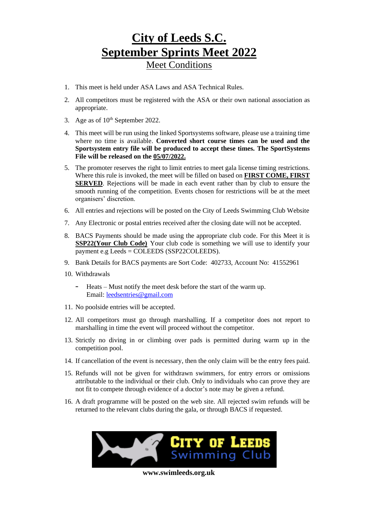### **City of Leeds S.C. September Sprints Meet 2022** Meet Conditions

- 1. This meet is held under ASA Laws and ASA Technical Rules.
- 2. All competitors must be registered with the ASA or their own national association as appropriate.
- 3. Age as of  $10<sup>th</sup>$  September 2022.
- 4. This meet will be run using the linked Sportsystems software, please use a training time where no time is available. **Converted short course times can be used and the Sportsystem entry file will be produced to accept these times. The SportSystems File will be released on the 05/07/2022.**
- 5. The promoter reserves the right to limit entries to meet gala license timing restrictions. Where this rule is invoked, the meet will be filled on based on **FIRST COME, FIRST SERVED**. Rejections will be made in each event rather than by club to ensure the smooth running of the competition. Events chosen for restrictions will be at the meet organisers' discretion.
- 6. All entries and rejections will be posted on the City of Leeds Swimming Club Website
- 7. Any Electronic or postal entries received after the closing date will not be accepted.
- 8. BACS Payments should be made using the appropriate club code. For this Meet it is **SSP22(Your Club Code)** Your club code is something we will use to identify your payment e.g Leeds = COLEEDS (SSP22COLEEDS).
- 9. Bank Details for BACS payments are Sort Code: 402733, Account No: 41552961
- 10. Withdrawals
	- Heats Must notify the meet desk before the start of the warm up. Email: [leedsentries@gmail.com](mailto:leedsentries@gmail.com)
- 11. No poolside entries will be accepted.
- 12. All competitors must go through marshalling. If a competitor does not report to marshalling in time the event will proceed without the competitor.
- 13. Strictly no diving in or climbing over pads is permitted during warm up in the competition pool.
- 14. If cancellation of the event is necessary, then the only claim will be the entry fees paid.
- 15. Refunds will not be given for withdrawn swimmers, for entry errors or omissions attributable to the individual or their club. Only to individuals who can prove they are not fit to compete through evidence of a doctor's note may be given a refund.
- 16. A draft programme will be posted on the web site. All rejected swim refunds will be returned to the relevant clubs during the gala, or through BACS if requested.

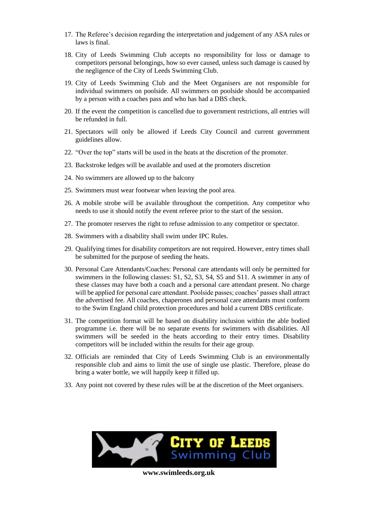- 17. The Referee's decision regarding the interpretation and judgement of any ASA rules or laws is final.
- 18. City of Leeds Swimming Club accepts no responsibility for loss or damage to competitors personal belongings, how so ever caused, unless such damage is caused by the negligence of the City of Leeds Swimming Club.
- 19. City of Leeds Swimming Club and the Meet Organisers are not responsible for individual swimmers on poolside. All swimmers on poolside should be accompanied by a person with a coaches pass and who has had a DBS check.
- 20. If the event the competition is cancelled due to government restrictions, all entries will be refunded in full.
- 21. Spectators will only be allowed if Leeds City Council and current government guidelines allow.
- 22. "Over the top" starts will be used in the heats at the discretion of the promoter.
- 23. Backstroke ledges will be available and used at the promoters discretion
- 24. No swimmers are allowed up to the balcony
- 25. Swimmers must wear footwear when leaving the pool area.
- 26. A mobile strobe will be available throughout the competition. Any competitor who needs to use it should notify the event referee prior to the start of the session.
- 27. The promoter reserves the right to refuse admission to any competitor or spectator.
- 28. Swimmers with a disability shall swim under IPC Rules.
- 29. Qualifying times for disability competitors are not required. However, entry times shall be submitted for the purpose of seeding the heats.
- 30. Personal Care Attendants/Coaches: Personal care attendants will only be permitted for swimmers in the following classes: S1, S2, S3, S4, S5 and S11. A swimmer in any of these classes may have both a coach and a personal care attendant present. No charge will be applied for personal care attendant. Poolside passes; coaches' passes shall attract the advertised fee. All coaches, chaperones and personal care attendants must conform to the Swim England child protection procedures and hold a current DBS certificate.
- 31. The competition format will be based on disability inclusion within the able bodied programme i.e. there will be no separate events for swimmers with disabilities. All swimmers will be seeded in the heats according to their entry times. Disability competitors will be included within the results for their age group.
- 32. Officials are reminded that City of Leeds Swimming Club is an environmentally responsible club and aims to limit the use of single use plastic. Therefore, please do bring a water bottle, we will happily keep it filled up.
- 33. Any point not covered by these rules will be at the discretion of the Meet organisers.

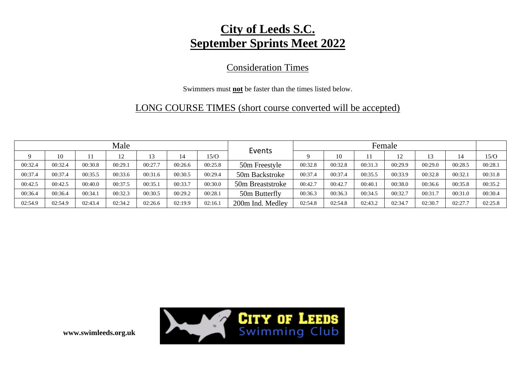### Consideration Times

#### Swimmers must **not** be faster than the times listed below.

### LONG COURSE TIMES (short course converted will be accepted)

|         |         |         | Male    |         |         |         |                  | Female  |         |         |         |         |         |         |
|---------|---------|---------|---------|---------|---------|---------|------------------|---------|---------|---------|---------|---------|---------|---------|
|         | 10      |         | 12      | 13      | 14      | 15/O    | Events           |         | 10      |         | 12      | 13      | 14      | 15/O    |
| 00:32.4 | 00:32.4 | 00:30.8 | 00:29.1 | 00:27.7 | 00:26.6 | 00:25.8 | 50m Freestyle    | 00:32.8 | 00:32.8 | 00:31.3 | 00:29.9 | 00:29.0 | 00:28.5 | 00:28.1 |
| 00:37.4 | 00:37.4 | 00:35.5 | 00:33.6 | 00:31.6 | 00:30.5 | 00:29.4 | 50m Backstroke   | 00:37.4 | 00:37.4 | 00:35.5 | 00:33.9 | 00:32.8 | 00:32.1 | 00:31.8 |
| 00:42.5 | 00:42.5 | 00:40.0 | 00:37.5 | 00:35.1 | 00:33.7 | 00:30.0 | 50m Breaststroke | 00:42.7 | 00:42.7 | 00:40.1 | 00:38.0 | 00:36.6 | 00:35.8 | 00:35.2 |
| 00:36.4 | 00:36.4 | 00:34.1 | 00:32.3 | 00:30.5 | 00:29.2 | 00:28.1 | 50m Butterfly    | 00:36.3 | 00:36.3 | 00:34.5 | 00:32.7 | 00:31.7 | 00:31.0 | 00:30.4 |
| 02:54.9 | 02:54.9 | 02:43.4 | 02:34.2 | 02:26.6 | 02:19.9 | 02:16.1 | 200m Ind. Medley | 02:54.8 | 02:54.8 | 02:43.2 | 02:34.7 | 02:30.7 | 02:27.7 | 02:25.8 |

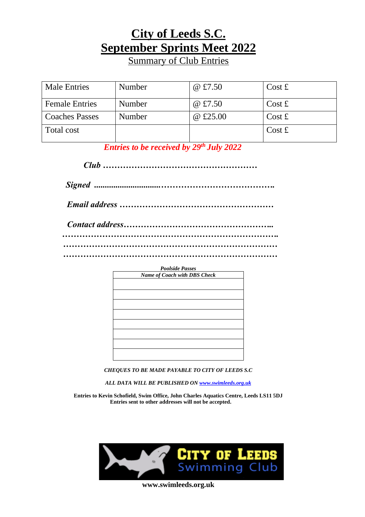**Summary of Club Entries** 

| <b>Male Entries</b>   | Number | @ £7.50  | $\cos t f$              |
|-----------------------|--------|----------|-------------------------|
| <b>Female Entries</b> | Number | @ £7.50  | $Cost \pounds$          |
| <b>Coaches Passes</b> | Number | @ £25.00 | $Cost \text{ } \pounds$ |
| Total cost            |        |          | $Cost \text{ } \pounds$ |

*Entries to be received by 29 th July 2022*

*Club ………………………………………………*

*Signed ...............................………………………………….*

*Email address ………………………………………………*

*Contact address…………………………………………….. …………………………………………………………………. ………………………………………………………………… …………………………………………………………………*



*CHEQUES TO BE MADE PAYABLE TO CITY OF LEEDS S.C*

*ALL DATA WILL BE PUBLISHED ON [www.swimleeds.org.uk](http://www.swimleeds.org.uk/)*

**Entries to Kevin Schofield, Swim Office, John Charles Aquatics Centre, Leeds LS11 5DJ Entries sent to other addresses will not be accepted.**